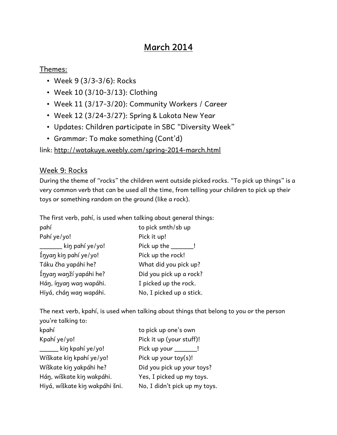# **March 2014**

### Themes:

- Week 9 (3/3-3/6): Rocks
- Week 10 (3/10-3/13): Clothing
- Week 11 (3/17-3/20): Community Workers / Career
- Week 12 (3/24-3/27): Spring & Lakota New Year
- Updates: Children participate in SBC "Diversity Week"
- Grammar: To make something (Cont'd)

link: <http://wotakuye.weebly.com/spring-2014-march.html>

## Week 9: Rocks

During the theme of "rocks" the children went outside picked rocks. "To pick up things" is a very common verb that can be used all the time, from telling your children to pick up their toys or something random on the ground (like a rock).

The first verb, pahí, is used when talking about general things:

| pahí                   | to pick smth/sb up       |
|------------------------|--------------------------|
| Pahí ye/yo!            | Pick it up!              |
| kin pahí ye/yo!        | Pick up the              |
| Ínyan kin pahí ye/yo!  | Pick up the rock!        |
| Táku čha yapáhi he?    | What did you pick up?    |
| Ínyan wanží yapáhi he? | Did you pick up a rock?  |
| Hán, ínyan wan wapáhi. | I picked up the rock.    |
| Hiyá, chán wan wapáhi. | No, I picked up a stick. |

The next verb, kpahí, is used when talking about things that belong to you or the person you're talking to:

| kpahí                          | to pick up one's own          |
|--------------------------------|-------------------------------|
| Kpahí ye/yo!                   | Pick it up (your stuff)!      |
| kin kpahí ye/yo!               | Pick up your _______!         |
| Wíškate kin kpahí ye/yo!       | Pick up your toy(s)!          |
| Wíškate kin yakpáhi he?        | Did you pick up your toys?    |
| Hán, wíškate kin wakpáhi.      | Yes, I picked up my toys.     |
| Hiyá, wíškate kiŋ wakpáhi šni. | No, I didn't pick up my toys. |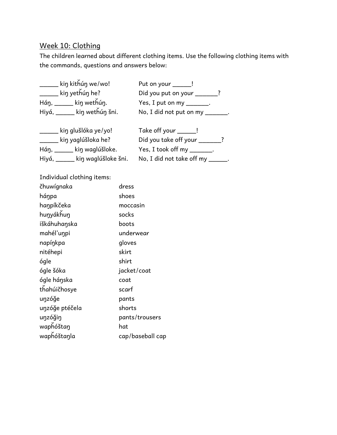# Week 10: Clothing

The children learned about different clothing items. Use the following clothing items with the commands, questions and answers below:

| _____ kiŋ kitȟúŋ we/wo!           | Put on your _____!                |
|-----------------------------------|-----------------------------------|
| ______ kiŋ yetȟúŋ he?             | Did you put on your _____?        |
| Háŋ, _____ kiŋ wetȟúŋ.            | Yes, I put on my _______.         |
| Hiyá, _____ kin wethún šni.       | No, I did not put on my _______.  |
| <u>___</u> __ kin glušlóka ye/yo! | Take off your ______!             |
| _____ kiŋ yaglúšloka he?          | Did you take off your ______?     |
| Háŋ, ______ kiŋ waglúšloke.       | Yes, I took off my _______.       |
| Hiyá, _____ kin waglúšloke šni.   | No, I did not take off my ______. |

Individual clothing items:

| čhuwígnaka     | dress            |
|----------------|------------------|
| háŋpa          | shoes            |
| haŋpíkčeka     | moccasin         |
| hunyákhun      | socks            |
| iškáhuhaŋska   | boots            |
| mahél'uŋpi     | underwear        |
| napíŋkpa       | gloves           |
| nitéhepi       | skirt            |
| ógle           | shirt            |
| ógle šóka      | jacket/coat      |
| ógle háŋska    | coat             |
| thahúičhosye   | scarf            |
| unzóğe         | pants            |
| unzóğe ptéčela | shorts           |
| unzóğin        | pants/trousers   |
| waphóštan      | hat              |
| waphóštanla    | cap/baseball cap |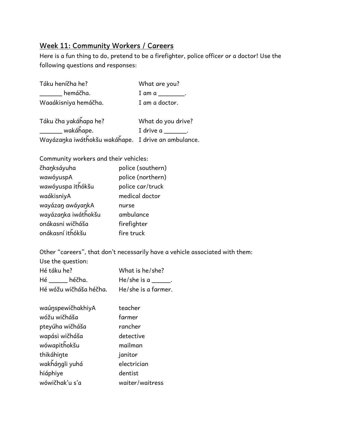## **Week 11: Community Workers / Careers**

Here is a fun thing to do, pretend to be a firefighter, police officer or a doctor! Use the following questions and responses:

| Táku heníčha he?                        | What are you?      |
|-----------------------------------------|--------------------|
| hemáčha.                                | I am a _________.  |
| Waaákisniya hemáčha.                    | I am a doctor.     |
| Táku čha yakáňapa he?<br>$\overline{1}$ | What do you drive? |

**\_\_\_\_\_\_** wakáȟape. I drive a \_\_\_\_\_\_\_. Wayázaŋka iwátȟokšu wakáȟape. I drive an ambulance.

Community workers and their vehicles:

| čhanksáyuha         | police (southern) |
|---------------------|-------------------|
| wawóyuspA           | police (northern) |
| wawóyuspa ithókšu   | police car/truck  |
| waákisniyA          | medical doctor    |
| wayázan awáyankA    | nurse             |
| wayázanka iwáthokšu | ambulance         |
| onákasni wičháša    | firefighter       |
| onákasní ithókšu    | fire truck        |
|                     |                   |

Other "careers", that don't necessarily have a vehicle associated with them:

| Use the question:      |                     |
|------------------------|---------------------|
| Hé táku he?            | What is he/she?     |
| Hé héčha.              | $He/she is a$ .     |
| Hé wóžu wičháša héčha. | He/she is a farmer. |
|                        |                     |

| waúnspewičhakhiyA | teacher         |
|-------------------|-----------------|
| wóžu wičháša      | farmer          |
| pteyúha wičháša   | rancher         |
| wapási wičháša    | detective       |
| wówapitȟokšu      | mailman         |
| thikáhinte        | janitor         |
| wakȟáŋgli yuhá    | electrician     |
| hiáphiye          | dentist         |
| wówičhak'u s'a    | waiter/waitress |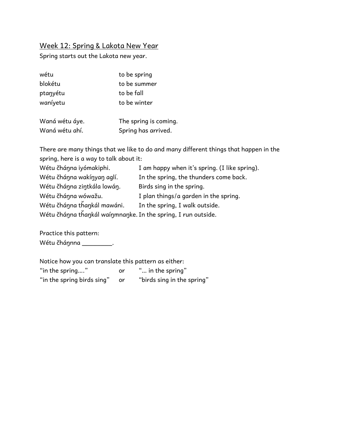### Week 12: Spring & Lakota New Year

Spring starts out the Lakota new year.

| wétu     | to be spring |
|----------|--------------|
| blokétu  | to be summer |
| ptanyétu | to be fall   |
| waníyetu | to be winter |
|          |              |

| Waná wétu áye. | The spring is coming. |
|----------------|-----------------------|
| Waná wétu ahí. | Spring has arrived.   |

There are many things that we like to do and many different things that happen in the spring, here is a way to talk about it:

| Wétu čhánna iyómakiphi.                                       | I am happy when it's spring. (I like spring). |
|---------------------------------------------------------------|-----------------------------------------------|
| Wétu čhánna wakínyan aglí.                                    | In the spring, the thunders come back.        |
| Wétu čhánna zintkála lowán.                                   | Birds sing in the spring.                     |
| Wétu čhánna wówažu.                                           | I plan things/a garden in the spring.         |
| Wétu čhánna thankál mawáni.                                   | In the spring, I walk outside.                |
| Wétu čhánna thankál waínmnanke. In the spring, I run outside. |                                               |

Practice this pattern: Wétu čháŋnna \_\_\_\_\_\_\_\_.

Notice how you can translate this pattern as either:<br>"in the spring...." or "... in the spring" "in the spring...." or "in the spring birds sing" or "birds sing in the spring"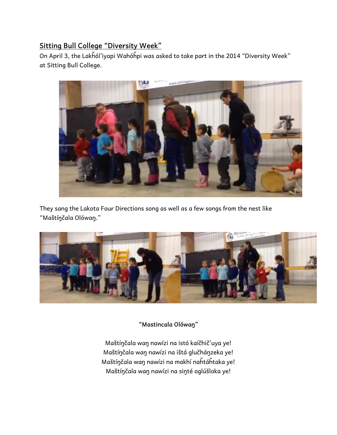# **Sitting Bull College "Diversity Week"**

On April 3, the Lakȟól'iyapi Wahóȟpi was asked to take part in the 2014 "Diversity Week" at Sitting Bull College.



They sang the Lakota Four Directions song as well as a few songs from the nest like "Maštíŋčala Olówaŋ."



**"Mastincala Olówaŋ"** 

Maštíŋčala waŋ nawízi na istó kaíčhič'uya ye! Maštíŋčala waŋ nawízi na ištá glučháŋzeka ye! Maštíŋčala waŋ nawízi na makhí naȟtáȟtaka ye! Maštíŋčala waŋ nawízi na siŋté oglúšloka ye!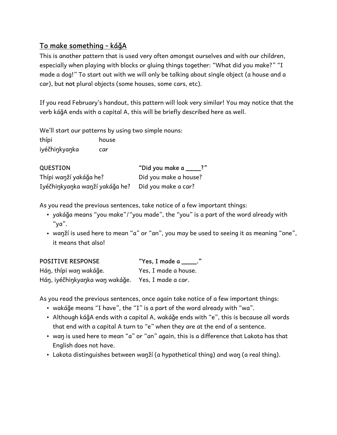# **To make something - káǧA**

This is another pattern that is used very often amongst ourselves and with our children, especially when playing with blocks or gluing things together: "What did you make?" "I made a dog!" To start out with we will only be talking about single object (a house and a car), but **not** plural objects (some houses, some cars, etc).

If you read February's handout, this pattern will look very similar! You may notice that the verb káǧA ends with a capital A, this will be briefly described here as well.

We'll start our patterns by using two simple nouns:

thípi house iyéčhiŋkyaŋka car

**QUESTION** "Did you make a \_\_\_\_?" Thípi waŋží yakáǧa he? Did you make a house? Iyéčhinkyanka wanží yakáğa he? Did you make a car?

As you read the previous sentences, take notice of a few important things:

- yakáğa means "you make"/"you made", the "you" is a part of the word already with "ya".
- waŋží is used here to mean "a" or "an", you may be used to seeing it as meaning "one", it means that also!

| <b>POSITIVE RESPONSE</b>                          | "Yes, I made a $\_\_\_\$ . |
|---------------------------------------------------|----------------------------|
| Hán, thípi wan wakáğe.                            | Yes, I made a house.       |
| Hán, iyéčhinkyanka wan wakáğe. Yes, I made a car. |                            |

As you read the previous sentences, once again take notice of a few important things:

- wakáǧe means "I have", the "I" is a part of the word already with "wa".
- Although káğA ends with a capital A, wakáğe ends with "e", this is because all words that end with a capital A turn to "e" when they are at the end of a sentence.
- waŋ is used here to mean "a" or "an" again, this is a difference that Lakota has that English does not have.
- Lakota distinguishes between wanží (a hypothetical thing) and wan (a real thing).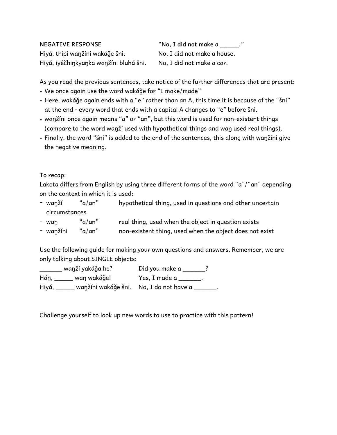Hiyá, thípi waŋžíni wakáǧe šni. No, I did not make a house. Hiyá, iyéčhinkyanka wanžíni bluhá šni. No, I did not make a car.

NEGATIVE RESPONSE **The "No, I did not make a \_\_\_\_\_."** 

As you read the previous sentences, take notice of the further differences that are present:

- We once again use the word wakáǧe for "I make/made"
- Here, wakáǧe again ends with a "e" rather than an A, this time it is because of the "šni" at the end - every word that ends with a capital A changes to "e" before šni.
- waŋžíni once again means "a" or "an", but this word is used for non-existent things (compare to the word waŋží used with hypothetical things and waŋ used real things).
- Finally, the word "šni" is added to the end of the sentences, this along with waŋžíni give the negative meaning.

#### **To recap:**

Lakota differs from English by using three different forms of the word "a"/"an" depending on the context in which it is used:

| – wanží | "a/an"        | hypothetical thing, used in questions and other uncertain |  |
|---------|---------------|-----------------------------------------------------------|--|
|         | circumstances |                                                           |  |
|         |               |                                                           |  |

- waŋ "a/an" real thing, used when the object in question exists
- wanžíni "a/an" non-existent thing, used when the object does not exist

Use the following guide for making your own questions and answers. Remember, we are only talking about SINGLE objects:

| wanží yakáğa he?                                         | Did you make a |
|----------------------------------------------------------|----------------|
| Hán, wan wakáğe!                                         | Yes, I made a  |
| ____ waŋžíni wakáǧe šni.    No, I do not have a<br>Hiyá, |                |

Challenge yourself to look up new words to use to practice with this pattern!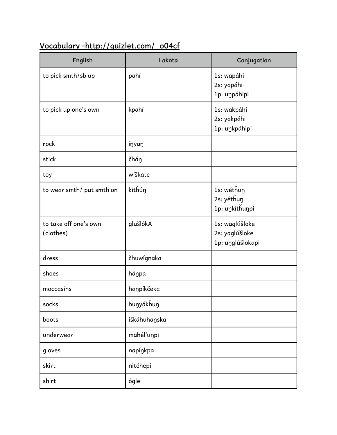# **Vocabulary -http://quizlet.com/\_o04cf**

| English                            | Lakota       | Conjugation                                          |
|------------------------------------|--------------|------------------------------------------------------|
| to pick smth/sb up                 | pahí         | 1s: wapáhi<br>2s: yapáhi<br>1p: uŋpáhipi             |
| to pick up one's own               | kpahí        | 1s: wakpáhi<br>2s: yakpáhi<br>1p: uŋkpáhipi          |
| rock                               | ínyan        |                                                      |
| stick                              | čháŋ         |                                                      |
| toy                                | wíškate      |                                                      |
| to wear smth/ put smth on          | kithúŋ       | 1s: wéthun<br>2s: yéthun<br>1p: uŋkíthuŋpi           |
| to take off one's own<br>(clothes) | glušlókA     | 1s: waglúšloke<br>2s: yaglúšloke<br>1p: unglúšlokapi |
| dress                              | čhuwígnaka   |                                                      |
| shoes                              | háŋpa        |                                                      |
| moccasins                          | haŋpíkčeka   |                                                      |
| socks                              | hunyákhun    |                                                      |
| boots                              | iškáhuhaŋska |                                                      |
| underwear                          | mahél'uŋpi   |                                                      |
| gloves                             | napíŋkpa     |                                                      |
| skirt                              | nitéhepi     |                                                      |
| shirt                              | ógle         |                                                      |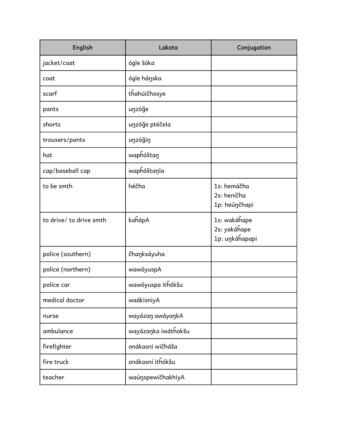| English                 | Lakota              | Conjugation                                    |
|-------------------------|---------------------|------------------------------------------------|
| jacket/coat             | ógle šóka           |                                                |
| coat                    | ógle háŋska         |                                                |
| scarf                   | thahúičhosye        |                                                |
| pants                   | unzóğe              |                                                |
| shorts                  | unzóğe ptéčela      |                                                |
| trousers/pants          | unzóğin             |                                                |
| hat                     | waphóštaŋ           |                                                |
| cap/baseball cap        | waphóštanla         |                                                |
| to be smth              | héčha               | 1s: hemáčha<br>2s: heníčha<br>1p: heúŋčhapi    |
| to drive/ to drive smth | kahápA              | 1s: wakáhape<br>2s: yakáhape<br>1p: uŋkáȟapapi |
| police (southern)       | čhaŋksáyuha         |                                                |
| police (northern)       | wawóyuspA           |                                                |
| police car              | wawóyuspa ithókšu   |                                                |
| medical doctor          | waákisniyA          |                                                |
| nurse                   | wayázaŋ awáyaŋkA    |                                                |
| ambulance               | wayázanka iwáthokšu |                                                |
| firefighter             | onákasni wičháša    |                                                |
| fire truck              | onákasní ithókšu    |                                                |
| teacher                 | waúnspewičhakhiyA   |                                                |